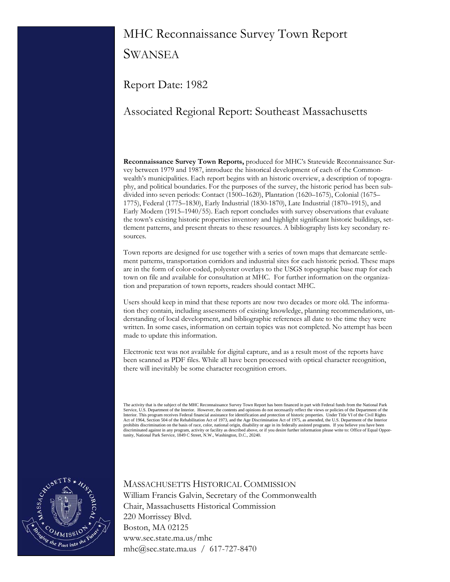# MHC Reconnaissance Survey Town Report

**SWANSEA** 

Report Date: 1982

## Associated Regional Report: Southeast Massachusetts

**Reconnaissance Survey Town Reports,** produced for MHC's Statewide Reconnaissance Survey between 1979 and 1987, introduce the historical development of each of the Commonwealth's municipalities. Each report begins with an historic overview, a description of topography, and political boundaries. For the purposes of the survey, the historic period has been subdivided into seven periods: Contact (1500–1620), Plantation (1620–1675), Colonial (1675– 1775), Federal (1775–1830), Early Industrial (1830-1870), Late Industrial (1870–1915), and Early Modern (1915–1940/55). Each report concludes with survey observations that evaluate the town's existing historic properties inventory and highlight significant historic buildings, settlement patterns, and present threats to these resources. A bibliography lists key secondary resources.

Town reports are designed for use together with a series of town maps that demarcate settlement patterns, transportation corridors and industrial sites for each historic period. These maps are in the form of color-coded, polyester overlays to the USGS topographic base map for each town on file and available for consultation at MHC. For further information on the organization and preparation of town reports, readers should contact MHC.

Users should keep in mind that these reports are now two decades or more old. The information they contain, including assessments of existing knowledge, planning recommendations, understanding of local development, and bibliographic references all date to the time they were written. In some cases, information on certain topics was not completed. No attempt has been made to update this information.

Electronic text was not available for digital capture, and as a result most of the reports have been scanned as PDF files. While all have been processed with optical character recognition, there will inevitably be some character recognition errors.

The activity that is the subject of the MHC Reconnaissance Survey Town Report has been financed in part with Federal funds from the National Park<br>Service, U.S. Department of the Interior. However, the contents and opinions Interior. This program receives Federal financial assistance for identification and protection of historic properties. Under Title VI of the Civil Rights Act of 1964, Section 504 of the Rehabilitation Act of 1973, and the Age Discrimination Act of 1975, as amended, the U.S. Department of the Interior<br>prohibits discrimination on the basis of race, color, national origin, dis discriminated against in any program, activity or facility as described above, or if you desire further information please write to: Office of Equal Oppor-<br>tunity, National Park Service, 1849 C Street, N.W., Washington, D.



### MASSACHUSETTS HISTORICAL COMMISSION William Francis Galvin, Secretary of the Commonwealth Chair, Massachusetts Historical Commission 220 Morrissey Blvd. Boston, MA 02125 www.sec.state.ma.us/mhc mhc@sec.state.ma.us / 617-727-8470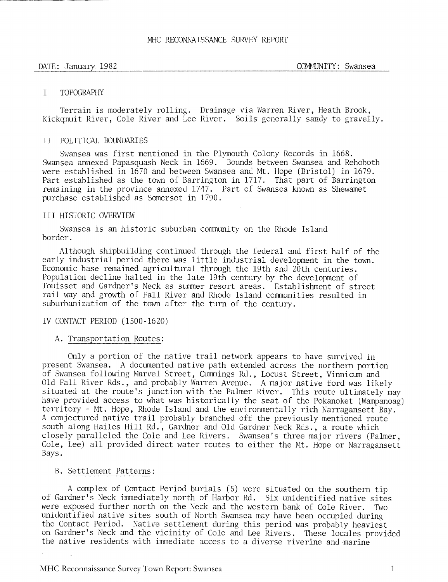-... .

### I TOPOGRAPHY

Terrain is moderately rolling. Drainage via Warren River, Heath Brook, Kickgmuit River, Cole River and Lee River. Soils generally sandy to gravelly.

### I1 POLITICAL BOUNDARIES

Swansea was first mentioned in the Plymouth Colony Records in 1668. Swansea annexed Papasquash Neck in 1669. Bounds between Swansea and Rehoboth were established in 1670 and between Swansea and Mt. Hope (Bristol) in 1679. Part established as the town of Barrington in 1717. That part of Barrington remaining in the province annexed 1747. Part of Swansea known as Shewamet purchase established as Somerset in 1790.

### I1 I HISTORIC OVERVIEW

Swansea is an historic suburban community on the Rhode Island border.

Although shipbuilding continued through the federal and first half of the early industrial period there was little industrial development in the town. Economic base remained agricultural through the 19th and 20th centuries. Population decline halted in the late 19th century by the development of Touisset and Gardner's Neck as summer resort areas. Establishment of street rail way and growth of Fall River and Rhode Island communities resulted in suburbanization of the town after the turn of the century.

### IV CONTACT PERIOD (1500 - 1620)

### A. Transportation Routes:

Only a portion of the native trail network appears to have survived in present Swansea. A documented native path extended across the northern portion of Swansea following Marvel Street, Cummings Rd., Locust Street, Vinnicum and Old Fall River Rds., and probably Warren Avenue. A major native ford was likely situated at the route's junction with the Palmer River. This route ultimately may have provided access to what was historically the seat of the Pokanoket (Wampanoag) territory - Mt. Hope, Rhode Island and the environmentally rich Narragansett Bay. A conjectured native trail probably branched off the previously mentioned route south along Hailes Hill Kd., Gardner and Old Gardner Neck Rds., a route which closely paralleled the Cole and Lee Rivers. Swansea's three major rivers (Palmer, Cole, Lee) all provided direct water routes to either the Mt. Hope or Narragansett Bays.

### B. Settlement Patterns:

A complex of Contact Period burials (5) were situated on the southern tip of Gardner's Neck imediately north of Harbor Rd. Six unidentified native sites were exposed further north on the Neck and the western bank of Cole River. Two unidentified native sites south of North Swansea may have been occupied during the Contact Period. Native settlement during this period was probably heaviest on Gardner's Neck and the vicinity of Cole and Lee Rivers. These locales provided the native residents with immediate access to a diverse riverine and marine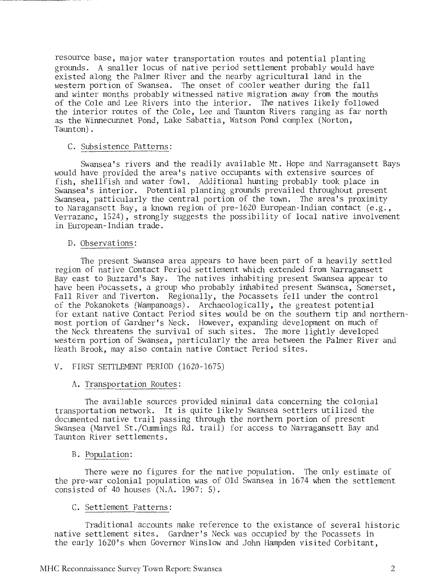resource base, major water transportation routes and potential planting grounds. A smaller locus of native period settlement probably would have existed along the Palmer River and the nearby agricultural land in the western portion of Swansea. The onset of cooler weather during the fall and winter months probably witnessed native migration away from the mouths of the Cole and Lee Rivers into the interior. The natives likely followed the interior routes of the Cole, Lee and Taunton Rivers ranging as far north as the Winnecunnet Pond, Lake Sabattia, Watson Pond complex (Norton, Taunton) .

### C. Subsistence Patterns:

Swansea's rivers and the readily available Mt. Hope and Narragansett Bays would have provided the area's native occupants with extensive sources of fish, shellfish and water fowl. Additional hunting probably took place in Swansea's interior. Potential planting grounds prevailed throughout present Swansea, patticularly the central portion of the town. The area's proximity to Naragansett Bay, a known region of pre-1620 European-Indian contact (e.g., Verrazano, 1524), strongly suggests the possibility of local native involvement in European-Indian trade.

### D. Observations:

The present Swansea area appears to have been part of a heavily settled region of native Contact Period settlement which extended from Narragansett Bay east to Buzzard's Bay. The natives inhabiting present Swansea appear to have been Pocassets, a group who probably inhabited present Swansea, Somerset, Fall River and Tiverton. Regionally, the Pocassets fell under the control of the Pokanokets (Wampanoags) . Archaeologically, the greatest potential for extant native Contact Period sites would be on the southern tip and northernmost portion of Gardner's Neck. However, expanding development on much of the Neck threatens the survival of such sites. The more lightly developed western portion of Swansea, particularly the area between the Palmer River and Heath Brook, may also contain native Contact Period sites.

V. FIRST SETTLEMENT PERIOD (1620-1675)

### A. Transportation Routes:

The available sources provided minimal data concerning the colonial transportation network. It is quite likely Swansea settlers utilized the documented native trail passing through the northern portion of present Swansea (Marvel St./Cummings Rd. trail) for access to Narragansett Bay and Taunton River settlements.

### B. Population:

There were no figures for the native population. The only estimate of the pre-war colonial population was of Old Swansea in 1674 when the settlement consisted of 40 houses (N.A. 1967: 5).

### C. Settlement Patterns:

Traditional accounts make reference to the existance of several historic native settlement sites. Gardner's Neck was occupied by the Pocassets in the early 1620's when Governor Winslow and John Hampden visited Corbitant,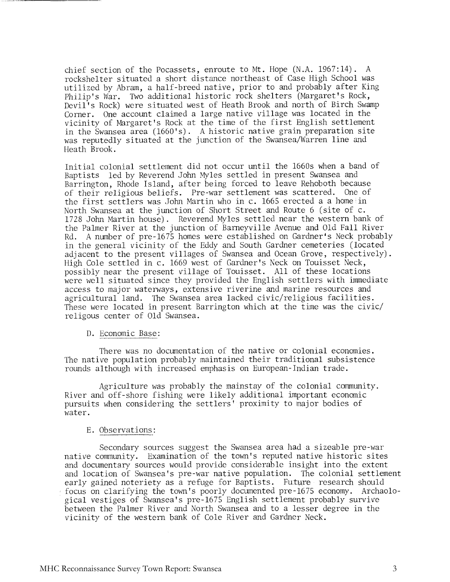chief section of the Pocassets, enroute to Mt. Hope (N.A. 1967:14). A rockshelter situated a short distance northeast of Case High School was utilized by Abram, a half-breed native, prior to and probably after King Philip's War. Two additional historic rock shelters (Margaret's Rock, Devil's Rock) were situated west of Heath Brook and north of Birch Swamp Corner. One account claimed a large native village was located in the vicinity of Margaret's Rock at the time of the first English settlement in the Swansea area (1660's). A historic native grain preparation site was reputedly situated at the junction of the Swansea/Warren line and Heath Brook.

Initial colonial settlement did not occur until the 1660s when a band of Baptists led by Reverend John Myles settled in present Swansea and Barrington, Rhode Island, after being forced to leave Rehoboth because of their religious beliefs. Pre-war settlement was scattered. One of the first settlers was John Martin who in c. 1665 erected a a home in North Swansea at the junction of Short Street and Route 6 (site of c. 1728 John Martin house). Reverend Myles settled near the western bank of the Palmer River at the junction of Barneyville Avenue and Old Fall River Rd. A number of pre-1675 homes were established on Gardner's Neck probably in the general vicinity of the Eddy and South Gardner cemeteries (located adjacent to the present villages of Swansea and Ocean Grove, respectively). High Cole settled in c. 1669 west of Gardner's Neck on Touisset Neck, possibly near the present village of Touisset. All of these locations were well situated since they provided the English settlers with immediate access to major waterways, extensive riverine and marine resources and agricultural land. The Swansea area lacked civic/religious facilities. These were located in present Barrington which at the time was the civic/ religous center of Old Swansea.

### D. Economic Base:

There was no documentation of the native or colonial economies. The native population probably maintained their traditional subsistence rounds although with increased emphasis on European-Indian trade.

Agriculture was probably the mainstay of the colonial community. River and off-shore fishing were likely additional important economic pursuits when considering the settlers' proximity to major bodies of water.

### E. Observations:

Secondary sources suggest the Swansea area had a sizeable pre-war native community. Examination of the town's reputed native historic sites and documentary sources would provide considerable insight into the extent and location of Swansea's pre-war native population. The colonial settlement early gained noteriety as a refuge for Baptists. Future research should focus on clarifying the town's poorly documented pre-1675 economy. Archaological vestiges of Swansea's pre-1675 English settlement probably survive between the Palmer River and North Swansea and to a lesser degree in the vicinity of the western bank of Cole River and Gardner Neck.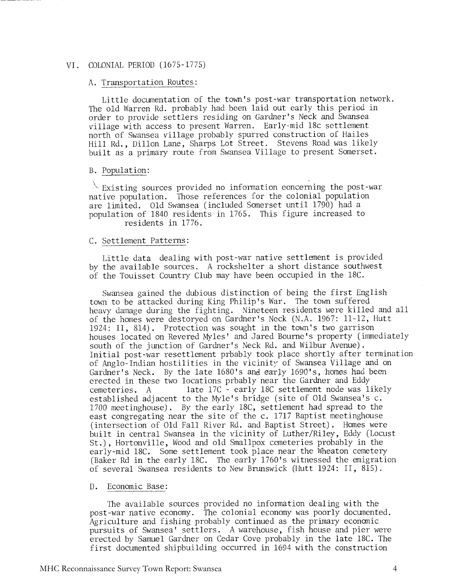### VI. COLONIAL PERIOD (1675-1775)

### A. Transportation Routes

Little documentation of the town's post-war transportation network. The old Warren Rd. probably had been laid out early this period in order to provide settlers residing on Gardner's Neck and Swansea village with access to present Warren. Early-mid 18c settlement north of Swansea village probably spurred construction of Hailes Hill Rd., Dillon Lane, Sharps Lot Street. Stevens Road was likely built as a primary route from Swansea Village to present Somerset.

### B. Population:

\ '- Existing sources provided no information eoncerning the post-war native population. Those references for the colonial population are limited. Old Swansea (included Somerset until 1790) had a population of 1840 residents in 1765. This figure increased to residents in 1776.

### C. Settlement Patterns:

Little data dealing with post-war native settlement is provided by the available sources. A rockshelter a short distance southwest of the Touisset Country Club may have been occupied in the 18C.

Swansea gained the dubious distinction of being the first English town to be attacked during King Philip's War. The town suffered heavy damage during the fighting. Nineteen residents were killed and all of the homes were destoryed on Gardner's Neck (N.A. 1967: 11-12, Hutt 1924: 11, 814). Protection was sought in the town's two garrison houses located on Revered Myles' and Jared Bourne's property (immediately south of the junction of Gardner's Neck Rd. and Wilbur Avenue). Initial post-war resettlement prbably took place shortly after termination of Anglo-Indian hostilities in the vicinity of Swansea Village and on Gardner's Neck. By the late 1680's and early 1690's, homes had been erected in these two locations prbably near the Gardner and Eddy cemeteries. A late 17C - early 18C settlement node was likely established adjacent to the Myle's bridge (site of Old Swansea's c. 1700 meetinghouse). By the early 18C, settlement had spread to the east congregating near the site of the c. 1717 Baptist meetinghouse (intersection of Old Fall River Rd. and Baptist Street). Homes were built in central Swansea in the vicinity of Luther/Riley, Eddy (Locust St.), Hortonville, Wood and old Smallpox cemeteries probably in the early-mid 18C. Some settlement took place near the Wheaton cemetery (Baker Rd in the early 18C. The early 1760's witnessed the emigration of several Swansea residents to New Brunswick (Hutt 1924: 11, 815).

### D. Economic Base:

The available sources provided no information dealing with the post-war native economy. The colonial economy was poorly documented. Agriculture and fishing probably continued as the primary economic pursuits of Swansea' settlers. A warehouse, fish house and pier were erected by Samuel Gardner on Cedar Cove probably in the late 18C. The first documented shipbuilding occurred in 1694 with the construction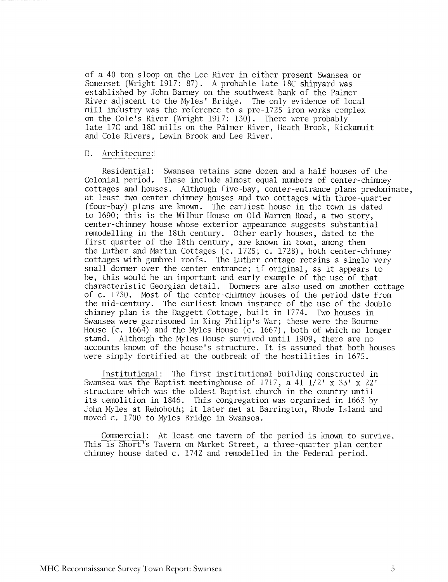of a 40 ton sloop on the Lee River in either present Swansea or Somerset (Wright 1917: 87). A probable late 18C shipyard was established by John Barney on the southwest bank of the Palmer River adjacent to the Myles' Bridge. The only evidence of local mill industry was the reference to a pre-1725 iron works complex on the Cole's River (Wright 1917: 130). There were probably late 17C and 18C mills on the Palmer River, Heath Brook, Kickamuit and Cole Rivers, Lewin Brook and Lee River.

### E. Architecure:

Residential: Swansea retains some dozen and a half houses of the Colonial period, These include almost equal numbers of center-chimney cottages and houses. Although five-bay, center-entrance plans predominate, at least two center chimney houses and two cottages with three-quarter (four-bay) plans are known. The earliest house in the town is dated to 1690: this is the Wilbur House on Old Warren Road, a two-story, center-chimney house whose exterior appearance suggests substantial remodelling in the 18th century. Other early houses, dated to the first quarter of the 18th century, are known in town, among them the Luther and Martin Cottages (c. 1725; c. 1728), both center-chimney cottages with gambrel roofs. The Luther cottage retains a single very small dormer over the center entrance; if original, as it appears to be, this would be an important and early example of the use of that characteristic Georgian detail. Dormers are also used on another cottage of c. 1730. Most of the center-chimney houses of the period date from the mid-century. The earliest known instance of the use of the double chimney plan is the Daggett Cottage, built in 1774. Two houses in Swansea were garrisoned in King Philip's War; these were the Bourne Mouse (c. 1664) and the Myles House (c. 1667), both of which no longer stand. Although the Myles House survived until 1909, there are no accounts known of the house's structure. It is assumed that both houses were simply fortified at the outbreak of the hostilities in 1675.

Institutional: The first institutional building constructed in Swansea was the Baptist meetinghouse of 1717, a 41  $1/2' \times 33' \times 22'$ structure which was the oldest Baptist church in the country until its demolition in 1846. This congregation was organized in 1663 by John b4yles at Rehoboth; it later met at Barrington, Rhode Island and moved c. 1700 to Myles Bridge in Swansea.

Commercial: At least one tavern of the period is known to survive. This is Short's Tavern on Market Street, a three-quarter plan center chimney house dated c. 1742 and remodelled in the Federal period.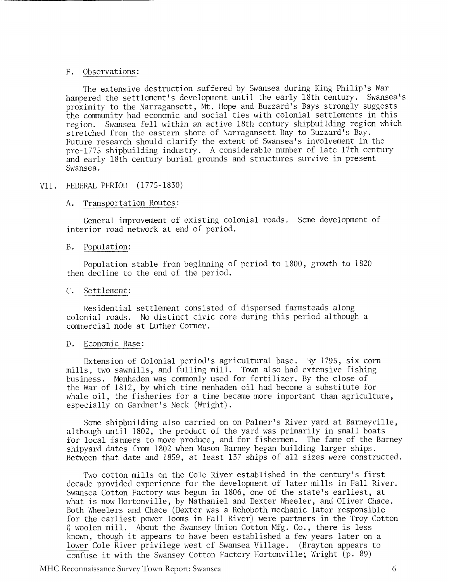### F. Observations:

The extensive destruction suffered by Swansea during King Philip's War hampered the settlement's development until the early 18th century. Swansea's proximity to the Narragansett, Mt. Hope and Buzzard's Bays strongly suggests the community had economic and social ties with colonial settlements in this region. Swansea fell within an active 18th century shipbuilding region which stretched from the eastern shore of Narragansett Bay to Buzzard's Bay. Future research should clarify the extent of Swansea's involvement in the pre-1775 shipbuilding industry. A considerable number of late 17th century and early 18th century burial grounds and structures survive in present Swansea.

### VII . FEDERAL PERIOD (1775-1830)

### A. Transportation Routes:

General improvement of existing colonial roads. Some development of interior road network at end of period.

### B. Population:

Population stable from beginning of period to 1800, growth to 1820 then decline to the end of the period.

## C. Settlement:

Residential settlement consisted of dispersed farmsteads along colonial roads. No distinct civic core during this period although a commercial node at Luther Corner.

### D. Economic Base:

Extension of Colonial period's agricultural base. By 1795, six corn mills, two sawmills, and fulling mill. Town also had extensive fishing business. Menhaden was commonly used for fertilizer. By the close of the War of 1812, by which time menhaden oil had become a substitute for whale oil, the fisheries for a time became more important than agriculture, especially on Gardner's Neck (Wright).

Some shipbuilding also carried on on Palmer's River yard at Barneyville, although until 1802, the product of the yard was primarily in small boats for local farmers to move produce, and for fishermen. The fame of the Barney shipyard dates from 1802 when Mason Barney began building larger ships. Between that date and 1859, at least 137 ships of all sizes were constructed.

Two cotton mills on the Cole River established in the century's first decade provided experience for the development of later mills in Fall River. Swansea Cotton Factory was begun in 1806, one of the state's earliest, at what is now Hortonville, by Nathaniel and Dexter Wheeler, and Oliver Chace. Both Wheelers and Chace (Dexter was a Rehoboth mechanic later responsible for the earliest power looms in Fall River) were partners in the Troy Cotton  $\delta$  woolen mill. About the Swansey Union Cotton Mfg. Co., there is less known, though it appears to have been established a few years later on a for the carriest power rooms in rail Kiver) were partners in the rioy cod<br>f woolen mill. About the Swansey Union Cotton Mfg. Co., there is less<br>known, though it appears to have been established a few years later on a<br>lower confuse it with the Swansey Cotton Factory Hortonville; Wright (p. 89)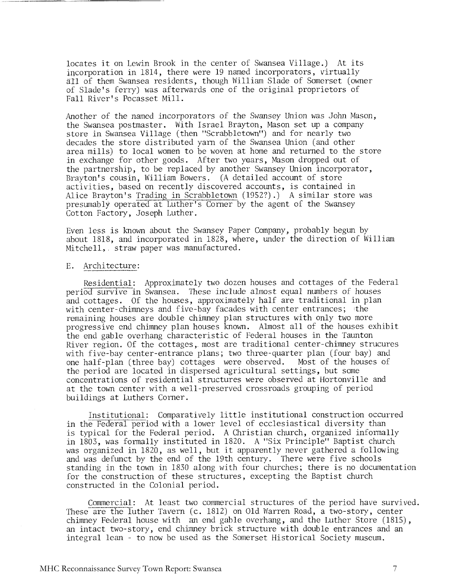locates it on Lewin Brook in the center of Swansea Village.) At its incorporation in 1814, there were 19 named incorporators, virtually a11 of them Swansea residents, though William Slade of Somerset (owner of Slade's ferry) was afterwards one of the original proprietors of Fall River's Pocasset Mill.

Another of the named incorporators of the Swansey Union was John Mason, the Swansea postmaster. With Israel Brayton, Mason set up a company store in Swansea Village (then "Scrabbletown") and for nearly two decades the store distributed yarn of the Swansea Union (and other area mills) to local women to be woven at home and returned to the store in exchange for other goods. After two years, Mason dropped out of the partnership, to be replaced by another Swansey Union incorporator, Brayton's cousin, William Bowers. (A detailed account of store activities, based on recently discovered accounts, is contained in Alice Brayton's Trading in Scrabbletown (1952?).) A similar store was presumably operated at Luther's Corner by the agent of the Swansey Cotton Factory, Joseph Luther.

Even less is known about the Swansey Paper Company, probably begun by about 1818, and incorporated in 1828, where, under the direction of William Mitchell, straw paper was manufactured.

### E. Architecture:

Residential: Approximately two dozen houses and cottages of the Federal period survive in Swansea. These include almost equal numbers of houses and cottages. Of the houses, approximately half are traditional in plan with center-chimneys and five-bay facades with center entrances; the remaining houses are double chimney plan structures with only two more progressive end chimney plan houses known. Almost all of the houses exhibit the end gable overhang characteristic of Federal houses in the Taunton River region. Of the cottages, most are traditional center-chimney strucures with five-bay center-entrance plans; two three-quarter plan (four bay) and one half-plan (three bay) cottages were observed. Most of the houses of one half-plan (three bay) cottages were observed. the period are located in dispersed agricultural settings, but some concentrations of residential structures were observed at Hortonville and at the town center with a well-preserved crossroads grouping of period buildings at Luthers Comer. concentrations of residential structures were observed at Hortonville and<br>at the town center with a well-preserved crossroads grouping of period<br>positions at Luthers Corner.<br>Institutional: Comparatively little institutiona

Institutional: Comparatively little institutional construction occurred is typical for the Federal period. A Christian church, organized informally in 1803, was formally instituted in 1820. A "Six Principle" Baptist church was organized in 1820, as well, but it apparently never gathered a following and was defunct by the end of the 19th century. There were five schools standing in the town in 1830 along with four churches; there is no documentation for the construction of these structures, excepting the Baptist church constructed in the Colonial period.

Commercial: At least two commercial structures of the period have survived. These are the luther Tavern (c. 1812) on Old Warren Road, a two-story, center chimney Federal house with an end gable overhang, and the Luther Store (1815), an intact two-story, end chimney brick structure with double entrances and an integral lean - to now be used as the Somerset Historical Society museum.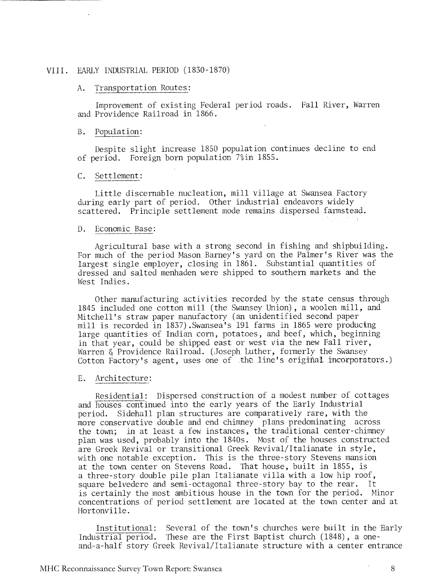### VIII. EARLY INDUSTRIAL PERIOD (1830-1870)

### A. Transportation Routes:

Improvement of existing Federal period roads. Fall River, Warren and Providence Railroad in 1866.

### B. Population:

Despite slight increase 1850 population continues decline to end of period. Foreign born population 7%in 1855.

### C. Settlement:

Little discernable nucleation, mill village at Swansea Factory during early part of period. Other industrial endeavors widely scattered. Principle settlement mode remains dispersed farmstead.

### D. Economic Base:

Agricultural base with a strong second in fishing and shipbuilding. For much of the period Mason Barney's yard on the Palmer's River was the largest single employer, closing in 1861. Substantial quantities of dressed and salted menhaden were shipped to southern markets and the West Indies.

Other manufacturing activities recorded by the state census through 1845 included one cotton mill (the Swansey Union), a woolen mill, and Mitchell's straw paper manufactory (an unidentified second paper mill is recorded in 1837). Swansea's 191 farms in 1865 were producing large quantities of Indian corn, potatoes, and beef, which, beginning in that year, could be shipped east or west via the new Fall river, Warren & Providence Railroad. (Joseph Luther, formerly the Swansey Cotton Factory's agent, uses one of the line's original incorporaters.)

### E. Architecture:

Residential: Dispersed construction of a modest number of cottages and houses continued into the early years of the Early Industrial period. Sidehall plan structures are comparatively rare, with the more conservative double and end chimney plans predominating across the town; in at least a few instances, the traditional center-chimney plan was used, probably into the 1840s. Most of the houses constructed are Greek Revival or transitional Greek Revival/Italianate in style, with one notable exception. This is the three-story Stevens mansion at the town center on Stevens Road. That house, built in 1855, is a three-story double pile plan Italianate villa with a low hip roof, square belvedere and semi-octagonal three-story bay to the rear. It is certainly the most ambitious house in the town for the period. Minor concentrations of period settlement are located at the town center and at Hortonville.

Institutional: Several of the town's churches were built in the Early Industrial period. These are the First Baptist church (1848), a oneand-a-half story Greek Revival/I talianate structure with a center entrance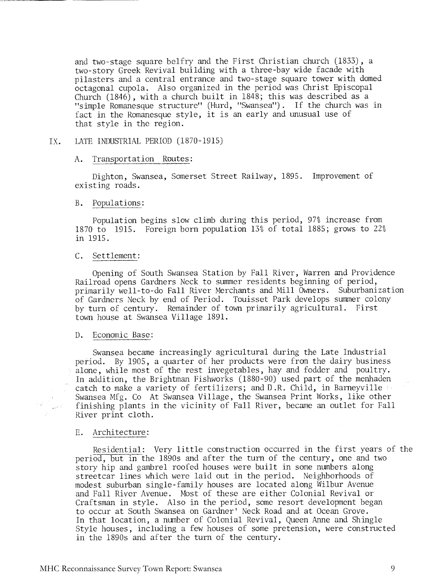and two-stage square belfry and the First Christian church (1833), a two-story Greek Revival building with a three-bay wide facade with pilasters and a central entrance and two-stage square tower with domed octagonal cupola. Also organized in the period was Christ Episcopal Church (1846), with a church built in 1848; this was described as a "simple Romanesque structure" (Hurd, "Swanseal'). If the church was in fact in the Romanesque style, it is an early and unusual use of that style in the region.

### IX. LATE INDUSTRIAL PERIOD (1870-1915)

### A. Transportation Routes:

Dighton, Swansea, Somerset Street Railway, 1895. Improvement of existing roads.

### B. Populations:

Population begins slow climb during this period, 97% increase from 1870 to 1915. Foreign born population 13% of total 1885; grows to 22% in 1915.

### C. Settlement:

Opening of South Swansea Station by Fall River, Warren and Providence Railroad opens Gardners Neck to summer residents beginning of period, primarily well-to-do Fall River Merchants and Mill Owners. Suburbanization of Gardners Neck by end of Period. Touisset Park develops summer colony by turn of century. Remainder of town primarily agricultural. First town house at Swansea Village 1891.

### D. Economic Base:

Swansea became increasingly agricultural during the Late Industrial period. By 1905, a quarter of her products were from the dairy business alone, while most of the rest invegetables, hay and fodder and poultry. In addition, the Brightman Fishworks (1880-90) used part of the menhaden catch to make a variety of fertilizers; and D.R. Child, in Barneyville Swansea Mfg. Co At Swansea Village, the Swansea Print Works, like other finishing plants in the vicinity of Fall River, became an outlet for Fall River print cloth.

### E. Architecture:

Residential: Very little construction occurred in the first years of the period, but in the 1890s and after the turn of the century, one and two story hip and gambrel roofed houses were built in some numbers along streetcar lines which were laid out in the period. Neighborhoods of modest suburban single-family houses are located along Wilbur Avenue and Fall River Avenue. Most of these are either Colonial Revival or Craftsman in style. Also in the period, some resort development began to occur at South Swansea on Gardner' Neck Road and at Ocean Grove. In that location, a number of Colonial Revival, Queen Anne and Shingle Style houses, including a few houses of some pretension, were constructed in the 1890s and after the turn of the century.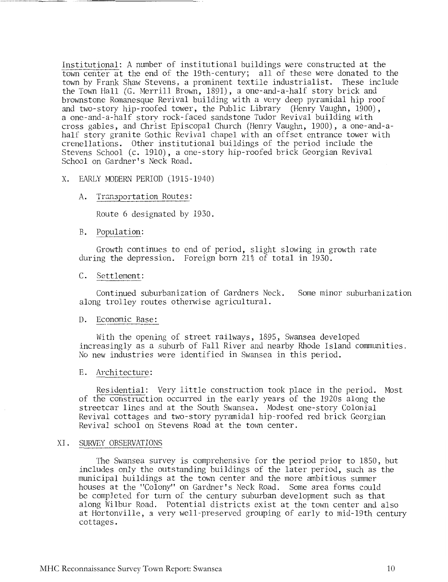Institutional: A nmber of institutional buildings were constructed at the town center at the end of the 19th-century; all of these were donated to the town by Frank Shaw Stevens, a prominent textile industrialist. These include the Town Hall (G. Merrill Brown, 1891), a one-and-a-half story brick and brownstone Romanesque Revival building with a very deep pyramidal hip roof and two-story hip-roofed tower, the Public Library (Henry Vaughn, 1900), a one-and-a-half story rock-faced sandstone Tudor Revival building with cross gables, and Christ Episcopal Church (Henry Vaughn, 1900), a one-and-ahalf story granite Gothic Revival chapel with an offset entrance tower with crenellations. Other institutional buildings of the period include the Stevens School (c. 1910), a one-story hip-roofed brick Georgian Revival School on Gardner's Neck Road.

### X. EARLY MODERN PERIOD (1915-1940)

### A. Transportation Routes:

Route 6 designated by 1930.

## Population:

Growth continues to end of period, slight slowing in growth rate during the depression. Foreign born 21% of total in 1930.<br>C. Settlement:

Continued suburbanization of Gardners Neck. Some minor suburbanization along trolley routes otherwise agricultural.

### D. Economic Base:

With the opening of street railways, 1895, Swansea developed increasingly as a suburb of Fall River and nearby Rhode Island communities. No new industries were identified in Swansea in this period.

### E. Architecture:

Residential: Very little construction took place in the period. Nost of the construction occurred in the early years of the 1920s along the streetcar lines and at the South Swansea. Modest one-story Colonial Revival cottages and two-story pyramidal hip-roofed red brick Georgian Revival school on Stevens Road at the town center. of the construction of<br>streetcar lines and at<br>Revival cottages and 1<br>Revival school on Stev<br>XI. SURVEY OBSERVATIONS

The Swansea survey is comprehensive for the period prior to 1850, but includes only the outstanding buildings of the later period, such as the municipal buildings at the town center and the more ambitious summer houses at the "Colony" on Gardner's Neck Road. Some area forms could be completed for turn of the century suburban development such as that along Wilbur Road. Potential districts exist at the tom center and also at Hortonville, a very well-preserved grouping of early to mid-19th century cottages.